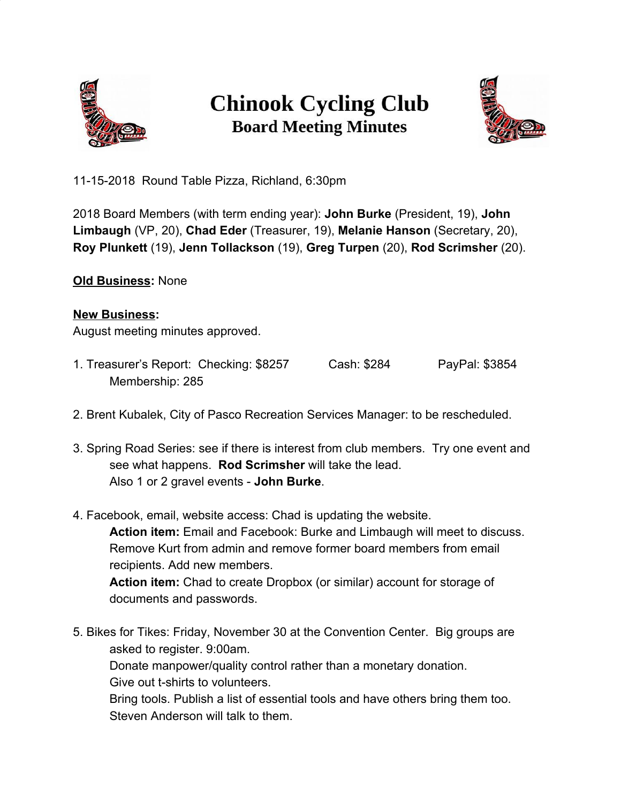

## **Chinook Cycling Club Board Meeting Minutes**



11-15-2018 Round Table Pizza, Richland, 6:30pm

2018 Board Members (with term ending year): **John Burke** (President, 19), **John Limbaugh** (VP, 20), **Chad Eder** (Treasurer, 19), **Melanie Hanson** (Secretary, 20), **Roy Plunkett** (19), **Jenn Tollackson** (19), **Greg Turpen** (20), **Rod Scrimsher** (20).

## **Old Business:** None

## **New Business:**

August meeting minutes approved.

- 1. Treasurer's Report: Checking: \$8257 Cash: \$284 PayPal: \$3854 Membership: 285
- 2. Brent Kubalek, City of Pasco Recreation Services Manager: to be rescheduled.
- 3. Spring Road Series: see if there is interest from club members. Try one event and see what happens. **Rod Scrimsher** will take the lead. Also 1 or 2 gravel events - **John Burke**.
- 4. Facebook, email, website access: Chad is updating the website. **Action item:** Email and Facebook: Burke and Limbaugh will meet to discuss. Remove Kurt from admin and remove former board members from email recipients. Add new members. **Action item:** Chad to create Dropbox (or similar) account for storage of documents and passwords.
- 5. Bikes for Tikes: Friday, November 30 at the Convention Center. Big groups are asked to register. 9:00am. Donate manpower/quality control rather than a monetary donation. Give out t-shirts to volunteers. Bring tools. Publish a list of essential tools and have others bring them too. Steven Anderson will talk to them.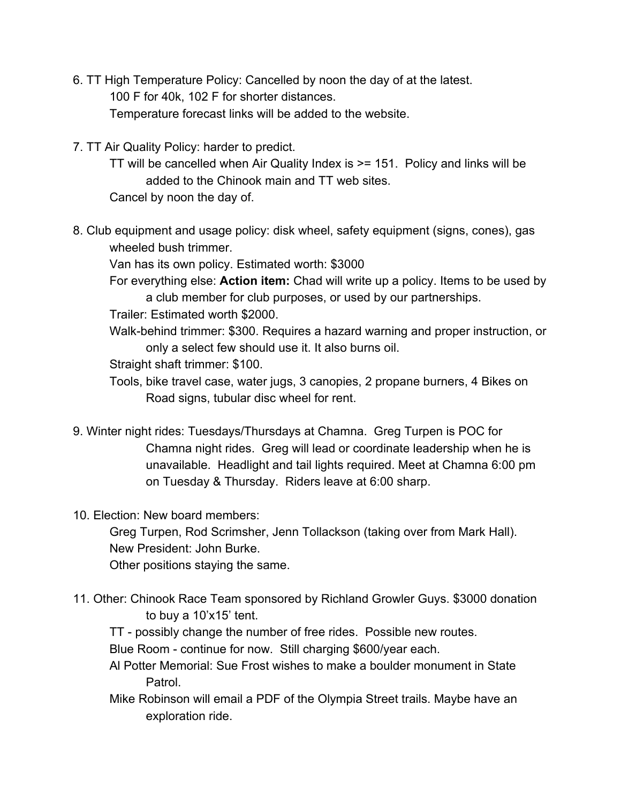- 6. TT High Temperature Policy: Cancelled by noon the day of at the latest. 100 F for 40k, 102 F for shorter distances. Temperature forecast links will be added to the website.
- 7. TT Air Quality Policy: harder to predict.
	- TT will be cancelled when Air Quality Index is >= 151. Policy and links will be added to the Chinook main and TT web sites.

Cancel by noon the day of.

8. Club equipment and usage policy: disk wheel, safety equipment (signs, cones), gas wheeled bush trimmer.

Van has its own policy. Estimated worth: \$3000

For everything else: **Action item:** Chad will write up a policy. Items to be used by a club member for club purposes, or used by our partnerships.

Trailer: Estimated worth \$2000.

Walk-behind trimmer: \$300. Requires a hazard warning and proper instruction, or only a select few should use it. It also burns oil.

Straight shaft trimmer: \$100.

- Tools, bike travel case, water jugs, 3 canopies, 2 propane burners, 4 Bikes on Road signs, tubular disc wheel for rent.
- 9. Winter night rides: Tuesdays/Thursdays at Chamna. Greg Turpen is POC for Chamna night rides. Greg will lead or coordinate leadership when he is unavailable. Headlight and tail lights required. Meet at Chamna 6:00 pm on Tuesday & Thursday. Riders leave at 6:00 sharp.
- 10. Election: New board members:

Greg Turpen, Rod Scrimsher, Jenn Tollackson (taking over from Mark Hall). New President: John Burke.

Other positions staying the same.

- 11. Other: Chinook Race Team sponsored by Richland Growler Guys. \$3000 donation to buy a 10'x15' tent.
	- TT possibly change the number of free rides. Possible new routes.

Blue Room - continue for now. Still charging \$600/year each.

- Al Potter Memorial: Sue Frost wishes to make a boulder monument in State Patrol.
- Mike Robinson will email a PDF of the Olympia Street trails. Maybe have an exploration ride.